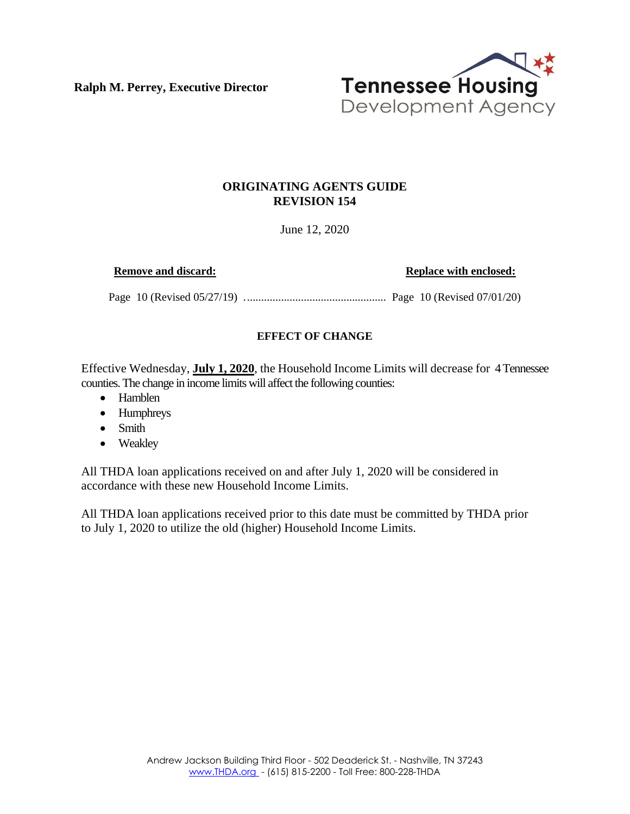**Ralph M. Perrey, Executive Director**



## **ORIGINATING AGENTS GUIDE REVISION 154**

June 12, 2020

**Remove and discard: Replace with enclosed: Replace with enclosed:** 

Page 10 (Revised 05/27/19) .................................................. Page 10 (Revised 07/01/20)

## **EFFECT OF CHANGE**

Effective Wednesday, **July 1, 2020**, the Household Income Limits will decrease for 4 Tennessee counties. The change in income limits will affect the following counties:

- Hamblen
- Humphreys
- Smith
- Weakley

All THDA loan applications received on and after July 1, 2020 will be considered in accordance with these new Household Income Limits.

All THDA loan applications received prior to this date must be committed by THDA prior to July 1, 2020 to utilize the old (higher) Household Income Limits.